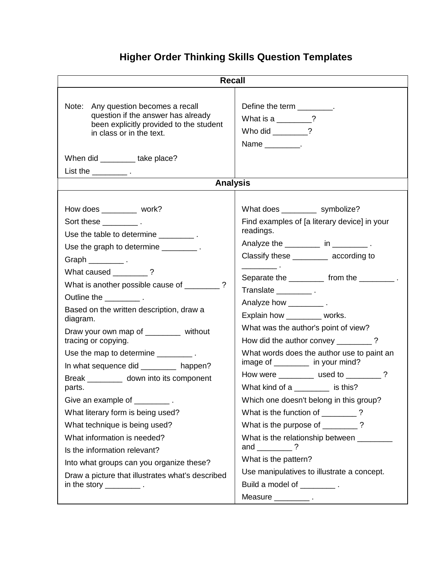## **Higher Order Thinking Skills Question Templates**

| <b>Recall</b>                                                                                                                                                                                                                                                                                                                                                                                                                                                                                                                                                                                                                                                                                                                                                                                                                                                                                                                                                                                                                                                                                                                                                                                                                       |                                                                                                                                                                                                                                                                                                                                                                                                                                                                                                                                                                                                                                                                                                                                                                                                                                                                            |
|-------------------------------------------------------------------------------------------------------------------------------------------------------------------------------------------------------------------------------------------------------------------------------------------------------------------------------------------------------------------------------------------------------------------------------------------------------------------------------------------------------------------------------------------------------------------------------------------------------------------------------------------------------------------------------------------------------------------------------------------------------------------------------------------------------------------------------------------------------------------------------------------------------------------------------------------------------------------------------------------------------------------------------------------------------------------------------------------------------------------------------------------------------------------------------------------------------------------------------------|----------------------------------------------------------------------------------------------------------------------------------------------------------------------------------------------------------------------------------------------------------------------------------------------------------------------------------------------------------------------------------------------------------------------------------------------------------------------------------------------------------------------------------------------------------------------------------------------------------------------------------------------------------------------------------------------------------------------------------------------------------------------------------------------------------------------------------------------------------------------------|
| Note: Any question becomes a recall<br>question if the answer has already<br>been explicitly provided to the student<br>in class or in the text.<br>When did __________take place?                                                                                                                                                                                                                                                                                                                                                                                                                                                                                                                                                                                                                                                                                                                                                                                                                                                                                                                                                                                                                                                  | Define the term _________.<br>What is a $\frac{1}{2}$ ?<br>Who did ________?<br>Name _________.                                                                                                                                                                                                                                                                                                                                                                                                                                                                                                                                                                                                                                                                                                                                                                            |
| <b>Analysis</b>                                                                                                                                                                                                                                                                                                                                                                                                                                                                                                                                                                                                                                                                                                                                                                                                                                                                                                                                                                                                                                                                                                                                                                                                                     |                                                                                                                                                                                                                                                                                                                                                                                                                                                                                                                                                                                                                                                                                                                                                                                                                                                                            |
| How does __________ work?<br>Sort these $\frac{1}{2}$ .<br>Use the table to determine __________.<br>Use the graph to determine __________.<br>Graph $\_\_\_\_\_\_\$ .<br>What caused ________?<br>What is another possible cause of ________?<br>Outline the _____________.<br>Based on the written description, draw a<br>diagram.<br>Draw your own map of _______ without<br>tracing or copying.<br>Use the map to determine $\frac{1}{\sqrt{1-\frac{1}{2}}}\cdot\frac{1}{\sqrt{1-\frac{1}{2}}}\cdot\frac{1}{\sqrt{1-\frac{1}{2}}}\cdot\frac{1}{\sqrt{1-\frac{1}{2}}}\cdot\frac{1}{\sqrt{1-\frac{1}{2}}}\cdot\frac{1}{\sqrt{1-\frac{1}{2}}}\cdot\frac{1}{\sqrt{1-\frac{1}{2}}}\cdot\frac{1}{\sqrt{1-\frac{1}{2}}}\cdot\frac{1}{\sqrt{1-\frac{1}{2}}}\cdot\frac{1}{\sqrt{1-\frac{1}{2}}}\cdot\frac{1}{\sqrt{1-\frac{1}{2$<br>In what sequence did _________ happen?<br>Break ____________ down into its component<br>parts.<br>Give an example of _________.<br>What literary form is being used?<br>What technique is being used?<br>What information is needed?<br>Is the information relevant?<br>Into what groups can you organize these?<br>Draw a picture that illustrates what's described<br>in the story $\frac{1}{1}$ . | What does ____________ symbolize?<br>Find examples of [a literary device] in your<br>readings.<br>Analyze the _________ in __________.<br>Classify these __________ according to<br>Separate the ____________ from the ____________.<br>Translate _______________.<br>Analyze how ____________.<br>Explain how ________ works.<br>What was the author's point of view?<br>How did the author convey ________?<br>What words does the author use to paint an<br>image of ________ in your mind?<br>How were ___________ used to _________?<br>What kind of a ________ is this?<br>Which one doesn't belong in this group?<br>What is the function of ________?<br>What is the purpose of ________?<br>What is the relationship between ________<br>and $\frac{1}{2}$ ?<br>What is the pattern?<br>Use manipulatives to illustrate a concept.<br>Build a model of _________. |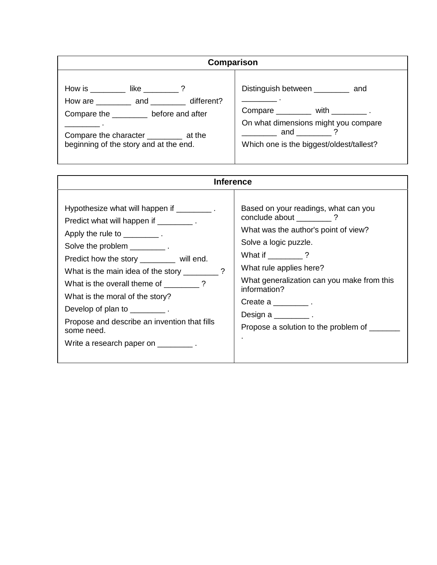| Comparison                                                                                                                                                                                                                                                                                                                                                                                                                                                                                                      |                                                                                                                                                                                                  |  |
|-----------------------------------------------------------------------------------------------------------------------------------------------------------------------------------------------------------------------------------------------------------------------------------------------------------------------------------------------------------------------------------------------------------------------------------------------------------------------------------------------------------------|--------------------------------------------------------------------------------------------------------------------------------------------------------------------------------------------------|--|
| How is $\frac{1}{2}$ like $\frac{1}{2}$ and $\frac{1}{2}$ and $\frac{1}{2}$ and $\frac{1}{2}$ and $\frac{1}{2}$ and $\frac{1}{2}$ and $\frac{1}{2}$ and $\frac{1}{2}$ and $\frac{1}{2}$ and $\frac{1}{2}$ and $\frac{1}{2}$ and $\frac{1}{2}$ and $\frac{1}{2}$ and $\frac{1}{2}$ and $\frac$<br>How are ___________ and _________ different?<br>Compare the _________ before and after<br>the contract of the contract of<br>Compare the character __________ at the<br>beginning of the story and at the end. | Distinguish between _________ and<br>Compare $\_\_\_\_\_$ with $\_\_\_\_\_\_\_\_$ .<br>On what dimensions might you compare<br>$\frac{1}{2}$ and 2 3<br>Which one is the biggest/oldest/tallest? |  |

| <b>Inference</b>                                                                                                                                                                                                                                                                                                                                                                                                                                                             |                                                                                                                                                                                                                                                                                                                                         |
|------------------------------------------------------------------------------------------------------------------------------------------------------------------------------------------------------------------------------------------------------------------------------------------------------------------------------------------------------------------------------------------------------------------------------------------------------------------------------|-----------------------------------------------------------------------------------------------------------------------------------------------------------------------------------------------------------------------------------------------------------------------------------------------------------------------------------------|
| Hypothesize what will happen if _________.<br>Predict what will happen if ___________.<br>Apply the rule to $\_\_\_\_\_\_\$ .<br>Solve the problem __________.<br>Predict how the story ________ will end.<br>What is the main idea of the story ________?<br>What is the overall theme of ?<br>What is the moral of the story?<br>Develop of plan to $\frac{1}{2}$ .<br>Propose and describe an invention that fills<br>some need.<br>Write a research paper on __________. | Based on your readings, what can you<br>conclude about ?<br>What was the author's point of view?<br>Solve a logic puzzle.<br>What if ________?<br>What rule applies here?<br>What generalization can you make from this<br>information?<br>Create a $\frac{1}{2}$ .<br>Design a $\frac{1}{1}$ .<br>Propose a solution to the problem of |